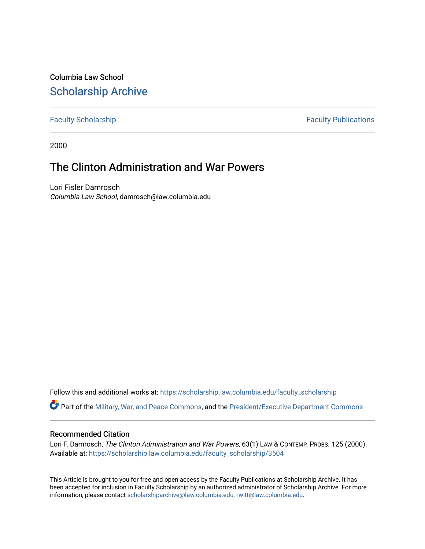Columbia Law School [Scholarship Archive](https://scholarship.law.columbia.edu/) 

[Faculty Scholarship](https://scholarship.law.columbia.edu/faculty_scholarship) **Faculty Scholarship Faculty Publications** 

2000

# The Clinton Administration and War Powers

Lori Fisler Damrosch Columbia Law School, damrosch@law.columbia.edu

Follow this and additional works at: [https://scholarship.law.columbia.edu/faculty\\_scholarship](https://scholarship.law.columbia.edu/faculty_scholarship?utm_source=scholarship.law.columbia.edu%2Ffaculty_scholarship%2F3504&utm_medium=PDF&utm_campaign=PDFCoverPages)

Part of the [Military, War, and Peace Commons,](https://network.bepress.com/hgg/discipline/861?utm_source=scholarship.law.columbia.edu%2Ffaculty_scholarship%2F3504&utm_medium=PDF&utm_campaign=PDFCoverPages) and the [President/Executive Department Commons](https://network.bepress.com/hgg/discipline/1118?utm_source=scholarship.law.columbia.edu%2Ffaculty_scholarship%2F3504&utm_medium=PDF&utm_campaign=PDFCoverPages)

# Recommended Citation

Lori F. Damrosch, The Clinton Administration and War Powers, 63(1) LAW & CONTEMP. PROBS. 125 (2000). Available at: [https://scholarship.law.columbia.edu/faculty\\_scholarship/3504](https://scholarship.law.columbia.edu/faculty_scholarship/3504?utm_source=scholarship.law.columbia.edu%2Ffaculty_scholarship%2F3504&utm_medium=PDF&utm_campaign=PDFCoverPages)

This Article is brought to you for free and open access by the Faculty Publications at Scholarship Archive. It has been accepted for inclusion in Faculty Scholarship by an authorized administrator of Scholarship Archive. For more information, please contact [scholarshiparchive@law.columbia.edu, rwitt@law.columbia.edu](mailto:scholarshiparchive@law.columbia.edu,%20rwitt@law.columbia.edu).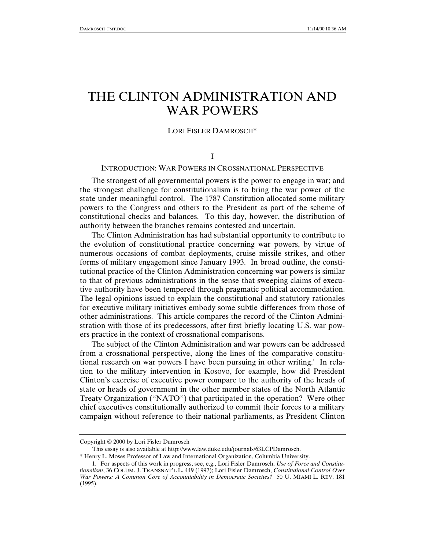# THE CLINTON ADMINISTRATION AND WAR POWERS

## LORI FISLER DAMROSCH\*

I

# INTRODUCTION: WAR POWERS IN CROSSNATIONAL PERSPECTIVE

The strongest of all governmental powers is the power to engage in war; and the strongest challenge for constitutionalism is to bring the war power of the state under meaningful control. The 1787 Constitution allocated some military powers to the Congress and others to the President as part of the scheme of constitutional checks and balances. To this day, however, the distribution of authority between the branches remains contested and uncertain.

The Clinton Administration has had substantial opportunity to contribute to the evolution of constitutional practice concerning war powers, by virtue of numerous occasions of combat deployments, cruise missile strikes, and other forms of military engagement since January 1993. In broad outline, the constitutional practice of the Clinton Administration concerning war powers is similar to that of previous administrations in the sense that sweeping claims of executive authority have been tempered through pragmatic political accommodation. The legal opinions issued to explain the constitutional and statutory rationales for executive military initiatives embody some subtle differences from those of other administrations. This article compares the record of the Clinton Administration with those of its predecessors, after first briefly locating U.S. war powers practice in the context of crossnational comparisons.

The subject of the Clinton Administration and war powers can be addressed from a crossnational perspective, along the lines of the comparative constitutional research on war powers I have been pursuing in other writing.<sup>1</sup> In relation to the military intervention in Kosovo, for example, how did President Clinton's exercise of executive power compare to the authority of the heads of state or heads of government in the other member states of the North Atlantic Treaty Organization ("NATO") that participated in the operation? Were other chief executives constitutionally authorized to commit their forces to a military campaign without reference to their national parliaments, as President Clinton

Copyright © 2000 by Lori Fisler Damrosch

This essay is also available at http://www.law.duke.edu/journals/63LCPDamrosch.

<sup>\*</sup> Henry L. Moses Professor of Law and International Organization, Columbia University.

<sup>1.</sup> For aspects of this work in progress, see, e.g., Lori Fisler Damrosch, *Use of Force and Constitutionalism*, 36 COLUM. J. TRANSNAT'L L. 449 (1997); Lori Fisler Damrosch, *Constitutional Control Over War Powers: A Common Core of Accountability in Democratic Societies?* 50 U. MIAMI L. REV. 181 (1995).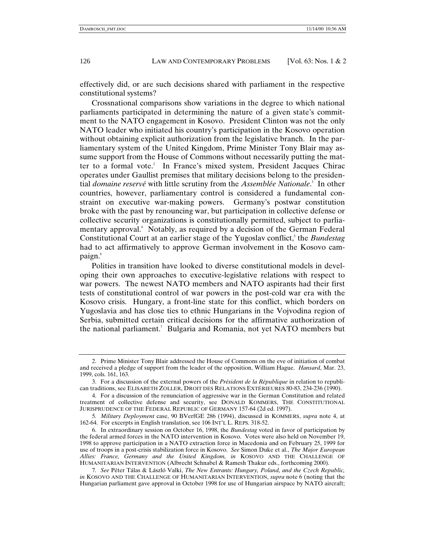effectively did, or are such decisions shared with parliament in the respective constitutional systems?

Crossnational comparisons show variations in the degree to which national parliaments participated in determining the nature of a given state's commitment to the NATO engagement in Kosovo. President Clinton was not the only NATO leader who initiated his country's participation in the Kosovo operation without obtaining explicit authorization from the legislative branch. In the parliamentary system of the United Kingdom, Prime Minister Tony Blair may assume support from the House of Commons without necessarily putting the matter to a formal vote.<sup>2</sup> In France's mixed system, President Jacques Chirac operates under Gaullist premises that military decisions belong to the presidential *domaine reservé* with little scrutiny from the *Assemblée Nationale*. 3 In other countries, however, parliamentary control is considered a fundamental constraint on executive war-making powers. Germany's postwar constitution broke with the past by renouncing war, but participation in collective defense or collective security organizations is constitutionally permitted, subject to parliamentary approval.4 Notably, as required by a decision of the German Federal Constitutional Court at an earlier stage of the Yugoslav conflict,<sup>5</sup> the *Bundestag* had to act affirmatively to approve German involvement in the Kosovo campaign.6

Polities in transition have looked to diverse constitutional models in developing their own approaches to executive-legislative relations with respect to war powers. The newest NATO members and NATO aspirants had their first tests of constitutional control of war powers in the post-cold war era with the Kosovo crisis. Hungary, a front-line state for this conflict, which borders on Yugoslavia and has close ties to ethnic Hungarians in the Vojvodina region of Serbia, submitted certain critical decisions for the affirmative authorization of the national parliament.<sup>7</sup> Bulgaria and Romania, not yet NATO members but

<sup>2.</sup> Prime Minister Tony Blair addressed the House of Commons on the eve of initiation of combat and received a pledge of support from the leader of the opposition, William Hague. *Hansard*, Mar. 23, 1999, cols. 161, 163.

<sup>3.</sup> For a discussion of the external powers of the *Président de la République* in relation to republican traditions, see ELISABETH ZOLLER, DROIT DES RELATIONS EXTÉRIEURES 80-83, 234-236 (1990).

<sup>4.</sup> For a discussion of the renunciation of aggressive war in the German Constitution and related treatment of collective defense and security, see DONALD KOMMERS, THE CONSTITUTIONAL JURISPRUDENCE OF THE FEDERAL REPUBLIC OF GERMANY 157-64 (2d ed. 1997).

<sup>5</sup>*. Military Deployment* case, 90 BVerfGE 286 (1994), discussed in KOMMERS, *supra* note 4, at 162-64. For excerpts in English translation, see 106 INT'L L. REPS. 318-52.

<sup>6.</sup> In extraordinary session on October 16, 1998, the *Bundestag* voted in favor of participation by the federal armed forces in the NATO intervention in Kosovo. Votes were also held on November 19, 1998 to approve participation in a NATO extraction force in Macedonia and on February 25, 1999 for use of troops in a post-crisis stabilization force in Kosovo. *See* Simon Duke et al., *The Major European Allies: France, Germany and the United Kingdom, in* KOSOVO AND THE CHALLENGE OF HUMANITARIAN INTERVENTION (Albrecht Schnabel & Ramesh Thakur eds., forthcoming 2000).

<sup>7</sup>*. See* Péter Tálas & László Valki, *The New Entrants: Hungary, Poland, and the Czech Republic, in* KOSOVO AND THE CHALLENGE OF HUMANITARIAN INTERVENTION, *supra* note 6 (noting that the Hungarian parliament gave approval in October 1998 for use of Hungarian airspace by NATO aircraft;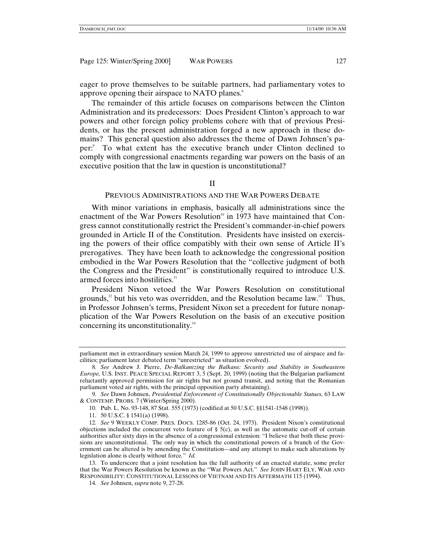eager to prove themselves to be suitable partners, had parliamentary votes to approve opening their airspace to NATO planes.<sup>8</sup>

The remainder of this article focuses on comparisons between the Clinton Administration and its predecessors: Does President Clinton's approach to war powers and other foreign policy problems cohere with that of previous Presidents, or has the present administration forged a new approach in these domains? This general question also addresses the theme of Dawn Johnsen's paper:9 To what extent has the executive branch under Clinton declined to comply with congressional enactments regarding war powers on the basis of an executive position that the law in question is unconstitutional?

II

#### PREVIOUS ADMINISTRATIONS AND THE WAR POWERS DEBATE

With minor variations in emphasis, basically all administrations since the enactment of the War Powers Resolution<sup>10</sup> in 1973 have maintained that Congress cannot constitutionally restrict the President's commander-in-chief powers grounded in Article II of the Constitution. Presidents have insisted on exercising the powers of their office compatibly with their own sense of Article II's prerogatives. They have been loath to acknowledge the congressional position embodied in the War Powers Resolution that the "collective judgment of both the Congress and the President" is constitutionally required to introduce U.S. armed forces into hostilities. $11$ 

President Nixon vetoed the War Powers Resolution on constitutional grounds, $12$  but his veto was overridden, and the Resolution became law.<sup>13</sup> Thus, in Professor Johnsen's terms, President Nixon set a precedent for future nonapplication of the War Powers Resolution on the basis of an executive position concerning its unconstitutionality.<sup>14</sup>

parliament met in extraordinary session March 24, 1999 to approve unrestricted use of airspace and facilities; parliament later debated term "unrestricted" as situation evolved).

<sup>8</sup>*. See* Andrew J. Pierre, *De-Balkanizing the Balkans: Security and Stability in Southeastern Europe,* U.S. INST. PEACE SPECIAL REPORT 3, 5 (Sept. 20, 1999) (noting that the Bulgarian parliament reluctantly approved permission for air rights but not ground transit, and noting that the Romanian parliament voted air rights, with the principal opposition party abstaining).

<sup>9</sup>*. See* Dawn Johnsen, *Presidential Enforcement of Constitutionally Objectionable Statues,* 63 LAW & CONTEMP. PROBS. 7 (Winter/Spring 2000).

<sup>10.</sup> Pub. L. No. 93-148, 87 Stat. 555 (1973) (codified at 50 U.S.C. §§1541-1548 (1998)).

<sup>11. 50</sup> U.S.C. § 1541(a) (1998).

<sup>12</sup>*. See* 9 WEEKLY COMP. PRES. DOCS. 1285-86 (Oct. 24, 1973). President Nixon's constitutional objections included the concurrent veto feature of  $\S$  5(c), as well as the automatic cut-off of certain authorities after sixty days in the absence of a congressional extension: "I believe that both these provisions are unconstitutional. The only way in which the constitutional powers of a branch of the Government can be altered is by amending the Constitution—and any attempt to make such alterations by legislation alone is clearly without force*.*" *Id.*

<sup>13.</sup> To underscore that a joint resolution has the full authority of an enacted statute, some prefer that the War Powers Resolution be known as the "War Powers Act." *See* JOHN HART ELY, WAR AND RESPONSIBILITY: CONSTITUTIONAL LESSONS OF VIETNAM AND ITS AFTERMATH 115 (1994).

<sup>14</sup>*. See* Johnsen, *supra* note 9, 27-28.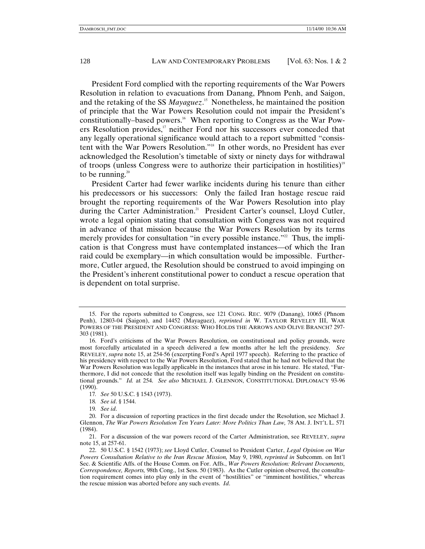President Ford complied with the reporting requirements of the War Powers Resolution in relation to evacuations from Danang, Phnom Penh, and Saigon, and the retaking of the SS *Mayaguez*. 15 Nonetheless, he maintained the position of principle that the War Powers Resolution could not impair the President's constitutionally–based powers.<sup>16</sup> When reporting to Congress as the War Powers Resolution provides, $17$  neither Ford nor his successors ever conceded that any legally operational significance would attach to a report submitted "consistent with the War Powers Resolution."18 In other words, no President has ever acknowledged the Resolution's timetable of sixty or ninety days for withdrawal of troops (unless Congress were to authorize their participation in hostilities)<sup>19</sup> to be running. $20$ 

President Carter had fewer warlike incidents during his tenure than either his predecessors or his successors: Only the failed Iran hostage rescue raid brought the reporting requirements of the War Powers Resolution into play during the Carter Administration.<sup>21</sup> President Carter's counsel, Lloyd Cutler, wrote a legal opinion stating that consultation with Congress was not required in advance of that mission because the War Powers Resolution by its terms merely provides for consultation "in every possible instance."<sup>22</sup> Thus, the implication is that Congress must have contemplated instances—of which the Iran raid could be exemplary—in which consultation would be impossible. Furthermore, Cutler argued, the Resolution should be construed to avoid impinging on the President's inherent constitutional power to conduct a rescue operation that is dependent on total surprise.

<sup>15.</sup> For the reports submitted to Congress, see 121 CONG. REC. 9079 (Danang), 10065 (Phnom Penh), 12803-04 (Saigon), and 14452 (Mayaguez), *reprinted in* W. TAYLOR REVELEY III, WAR POWERS OF THE PRESIDENT AND CONGRESS: WHO HOLDS THE ARROWS AND OLIVE BRANCH? 297- 303 (1981).

<sup>16.</sup> Ford's criticisms of the War Powers Resolution, on constitutional and policy grounds, were most forcefully articulated in a speech delivered a few months after he left the presidency. *See* REVELEY, *supra* note 15, at 254-56 (excerpting Ford's April 1977 speech). Referring to the practice of his presidency with respect to the War Powers Resolution, Ford stated that he had not believed that the War Powers Resolution was legally applicable in the instances that arose in his tenure. He stated, "Furthermore, I did not concede that the resolution itself was legally binding on the President on constitutional grounds." *Id.* at 254. *See also* MICHAEL J. GLENNON, CONSTITUTIONAL DIPLOMACY 93-96 (1990).

<sup>17</sup>*. See* 50 U.S.C. § 1543 (1973).

<sup>18</sup>*. See id*. § 1544.

<sup>19</sup>*. See id*.

<sup>20.</sup> For a discussion of reporting practices in the first decade under the Resolution, see Michael J. Glennon, *The War Powers Resolution Ten Years Later: More Politics Than Law,* 78 AM. J. INT'L L. 571 (1984).

<sup>21.</sup> For a discussion of the war powers record of the Carter Administration, see REVELEY, *supra* note 15, at 257-61.

<sup>22. 50</sup> U.S.C. § 1542 (1973); *see* Lloyd Cutler, Counsel to President Carter, *Legal Opinion on War Powers Consultation Relative to the Iran Rescue Mission,* May 9, 1980, *reprinted in* Subcomm. on Int'l Sec. & Scientific Affs. of the House Comm. on For. Affs., *War Powers Resolution: Relevant Documents, Correspondence, Reports,* 98th Cong., 1st Sess. 50 (1983). As the Cutler opinion observed, the consultation requirement comes into play only in the event of "hostilities" or "imminent hostilities," whereas the rescue mission was aborted before any such events. *Id*.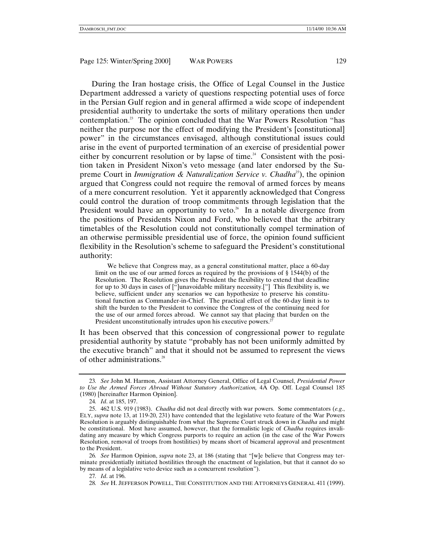During the Iran hostage crisis, the Office of Legal Counsel in the Justice Department addressed a variety of questions respecting potential uses of force in the Persian Gulf region and in general affirmed a wide scope of independent presidential authority to undertake the sorts of military operations then under contemplation.<sup>23</sup> The opinion concluded that the War Powers Resolution "has neither the purpose nor the effect of modifying the President's [constitutional] power" in the circumstances envisaged, although constitutional issues could arise in the event of purported termination of an exercise of presidential power either by concurrent resolution or by lapse of time.<sup>24</sup> Consistent with the position taken in President Nixon's veto message (and later endorsed by the Supreme Court in *Immigration & Naturalization Service v. Chadha*25), the opinion argued that Congress could not require the removal of armed forces by means of a mere concurrent resolution. Yet it apparently acknowledged that Congress could control the duration of troop commitments through legislation that the President would have an opportunity to veto.<sup>26</sup> In a notable divergence from the positions of Presidents Nixon and Ford, who believed that the arbitrary timetables of the Resolution could not constitutionally compel termination of an otherwise permissible presidential use of force, the opinion found sufficient flexibility in the Resolution's scheme to safeguard the President's constitutional authority:

We believe that Congress may, as a general constitutional matter, place a 60-day limit on the use of our armed forces as required by the provisions of § 1544(b) of the Resolution. The Resolution gives the President the flexibility to extend that deadline for up to 30 days in cases of  $\left[\right]$ unavoidable military necessity.<sup>["]</sup> This flexibility is, we believe, sufficient under any scenarios we can hypothesize to preserve his constitutional function as Commander-in-Chief. The practical effect of the 60-day limit is to shift the burden to the President to convince the Congress of the continuing need for the use of our armed forces abroad. We cannot say that placing that burden on the President unconstitutionally intrudes upon his executive powers.<sup>27</sup>

It has been observed that this concession of congressional power to regulate presidential authority by statute "probably has not been uniformly admitted by the executive branch" and that it should not be assumed to represent the views of other administrations.28

<sup>23</sup>*. See* John M. Harmon, Assistant Attorney General, Office of Legal Counsel, *Presidential Power to Use the Armed Forces Abroad Without Statutory Authorization,* 4A Op. Off. Legal Counsel 185 (1980) [hereinafter Harmon Opinion].

<sup>24</sup>*. Id*. at 185, 197.

<sup>25. 462</sup> U.S. 919 (1983). *Chadha* did not deal directly with war powers. Some commentators (*e.g*., ELY, *supra* note 13, at 119-20, 231) have contended that the legislative veto feature of the War Powers Resolution is arguably distinguishable from what the Supreme Court struck down in *Chadha* and might be constitutional. Most have assumed, however, that the formalistic logic of *Chadha* requires invalidating any measure by which Congress purports to require an action (in the case of the War Powers Resolution, removal of troops from hostilities) by means short of bicameral approval and presentment to the President.

<sup>26</sup>*. See* Harmon Opinion, *supra* note 23, at 186 (stating that "[w]e believe that Congress may terminate presidentially initiated hostilities through the enactment of legislation, but that it cannot do so by means of a legislative veto device such as a concurrent resolution").

<sup>27</sup>*. Id*. at 196.

<sup>28</sup>*. See* H. JEFFERSON POWELL, THE CONSTITUTION AND THE ATTORNEYS GENERAL 411 (1999).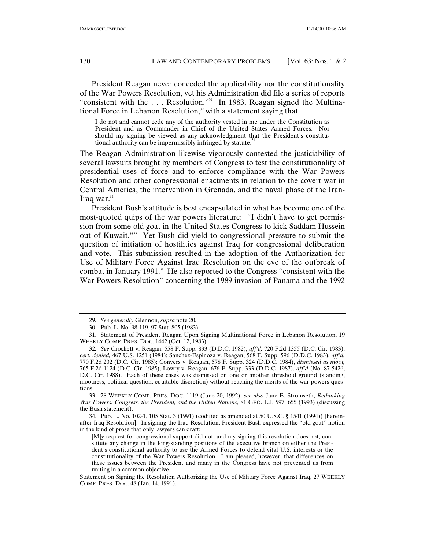President Reagan never conceded the applicability nor the constitutionality of the War Powers Resolution, yet his Administration did file a series of reports "consistent with the  $\ldots$  Resolution."<sup>29</sup> In 1983, Reagan signed the Multinational Force in Lebanon Resolution,<sup>30</sup> with a statement saying that

I do not and cannot cede any of the authority vested in me under the Constitution as President and as Commander in Chief of the United States Armed Forces. Nor should my signing be viewed as any acknowledgment that the President's constitutional authority can be impermissibly infringed by statute.<sup>31</sup>

The Reagan Administration likewise vigorously contested the justiciability of several lawsuits brought by members of Congress to test the constitutionality of presidential uses of force and to enforce compliance with the War Powers Resolution and other congressional enactments in relation to the covert war in Central America, the intervention in Grenada, and the naval phase of the Iran-Iraq war. $32$ 

President Bush's attitude is best encapsulated in what has become one of the most-quoted quips of the war powers literature: "I didn't have to get permission from some old goat in the United States Congress to kick Saddam Hussein out of Kuwait."33 Yet Bush did yield to congressional pressure to submit the question of initiation of hostilities against Iraq for congressional deliberation and vote. This submission resulted in the adoption of the Authorization for Use of Military Force Against Iraq Resolution on the eve of the outbreak of combat in January 1991.<sup>34</sup> He also reported to the Congress "consistent with the War Powers Resolution" concerning the 1989 invasion of Panama and the 1992

<sup>29</sup>*. See generally* Glennon, *supra* note 20.

<sup>30.</sup> Pub. L. No. 98-119, 97 Stat. 805 (1983).

<sup>31.</sup> Statement of President Reagan Upon Signing Multinational Force in Lebanon Resolution, 19 WEEKLY COMP. PRES. DOC. 1442 (Oct. 12, 1983).

<sup>32</sup>*. See* Crockett v. Reagan, 558 F. Supp. 893 (D.D.C. 1982), *aff'd,* 720 F.2d 1355 (D.C. Cir. 1983), *cert. denied,* 467 U.S. 1251 (1984); Sanchez-Espinoza v. Reagan, 568 F. Supp. 596 (D.D.C. 1983), *aff'd,* 770 F.2d 202 (D.C. Cir. 1985); Conyers v. Reagan, 578 F. Supp. 324 (D.D.C. 1984), *dismissed as moot,* 765 F.2d 1124 (D.C. Cir. 1985); Lowry v. Reagan, 676 F. Supp. 333 (D.D.C. 1987), *aff'd* (No. 87-5426, D.C. Cir. 1988). Each of these cases was dismissed on one or another threshold ground (standing, mootness, political question, equitable discretion) without reaching the merits of the war powers questions.

<sup>33. 28</sup> WEEKLY COMP. PRES. DOC. 1119 (June 20, 1992); *see also* Jane E. Stromseth, *Rethinking War Powers: Congress, the President, and the United Nations,* 81 GEO. L.J. 597, 655 (1993) (discussing the Bush statement).

<sup>34.</sup> Pub. L. No. 102-1, 105 Stat. 3 (1991) (codified as amended at 50 U.S.C. § 1541 (1994)) [hereinafter Iraq Resolution]. In signing the Iraq Resolution, President Bush expressed the "old goat" notion in the kind of prose that only lawyers can draft:

<sup>[</sup>M]y request for congressional support did not, and my signing this resolution does not, constitute any change in the long-standing positions of the executive branch on either the President's constitutional authority to use the Armed Forces to defend vital U.S. interests or the constitutionality of the War Powers Resolution. I am pleased, however, that differences on these issues between the President and many in the Congress have not prevented us from uniting in a common objective.

Statement on Signing the Resolution Authorizing the Use of Military Force Against Iraq, 27 WEEKLY COMP. PRES. DOC. 48 (Jan. 14, 1991).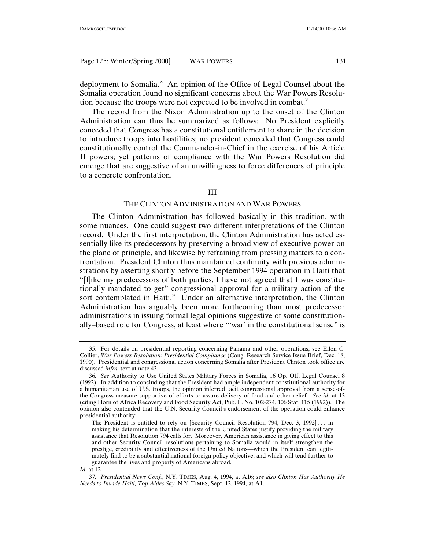deployment to Somalia.<sup>35</sup> An opinion of the Office of Legal Counsel about the Somalia operation found no significant concerns about the War Powers Resolution because the troops were not expected to be involved in combat.<sup>36</sup>

The record from the Nixon Administration up to the onset of the Clinton Administration can thus be summarized as follows: No President explicitly conceded that Congress has a constitutional entitlement to share in the decision to introduce troops into hostilities; no president conceded that Congress could constitutionally control the Commander-in-Chief in the exercise of his Article II powers; yet patterns of compliance with the War Powers Resolution did emerge that are suggestive of an unwillingness to force differences of principle to a concrete confrontation.

#### III

#### THE CLINTON ADMINISTRATION AND WAR POWERS

The Clinton Administration has followed basically in this tradition, with some nuances. One could suggest two different interpretations of the Clinton record. Under the first interpretation, the Clinton Administration has acted essentially like its predecessors by preserving a broad view of executive power on the plane of principle, and likewise by refraining from pressing matters to a confrontation. President Clinton thus maintained continuity with previous administrations by asserting shortly before the September 1994 operation in Haiti that "[l]ike my predecessors of both parties, I have not agreed that I was constitutionally mandated to get" congressional approval for a military action of the sort contemplated in Haiti. $37$  Under an alternative interpretation, the Clinton Administration has arguably been more forthcoming than most predecessor administrations in issuing formal legal opinions suggestive of some constitutionally–based role for Congress, at least where "'war' in the constitutional sense" is

*Id*. at 12.

<sup>35.</sup> For details on presidential reporting concerning Panama and other operations, see Ellen C. Collier, *War Powers Resolution: Presidential Compliance* (Cong. Research Service Issue Brief, Dec. 18, 1990). Presidential and congressional action concerning Somalia after President Clinton took office are discussed *infra,* text at note 43.

<sup>36</sup>*. See* Authority to Use United States Military Forces in Somalia, 16 Op. Off. Legal Counsel 8 (1992). In addition to concluding that the President had ample independent constitutional authority for a humanitarian use of U.S. troops, the opinion inferred tacit congressional approval from a sense-ofthe-Congress measure supportive of efforts to assure delivery of food and other relief. *See id*. at 13 (citing Horn of Africa Recovery and Food Security Act, Pub. L. No. 102-274, 106 Stat. 115 (1992)). The opinion also contended that the U.N. Security Council's endorsement of the operation could enhance presidential authority:

The President is entitled to rely on [Security Council Resolution 794, Dec. 3, 1992] . . . in making his determination that the interests of the United States justify providing the military assistance that Resolution 794 calls for. Moreover, American assistance in giving effect to this and other Security Council resolutions pertaining to Somalia would in itself strengthen the prestige, credibility and effectiveness of the United Nations—which the President can legitimately find to be a substantial national foreign policy objective, and which will tend further to guarantee the lives and property of Americans abroad.

<sup>37</sup>*. Presidential News Conf.*, N.Y. TIMES, Aug. 4, 1994, at A16; *see also Clinton Has Authority He Needs to Invade Haiti, Top Aides Say,* N.Y. TIMES, Sept. 12, 1994, at A1.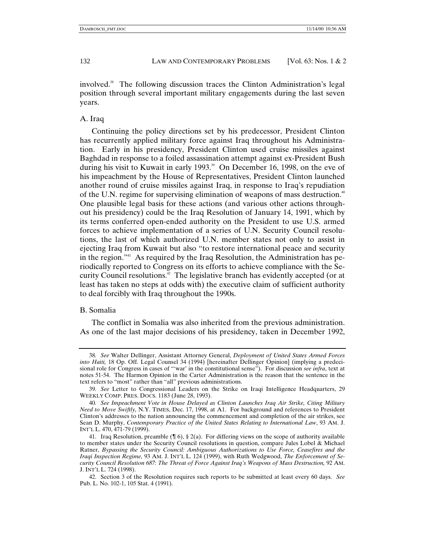involved.<sup>38</sup> The following discussion traces the Clinton Administration's legal position through several important military engagements during the last seven years.

#### A. Iraq

Continuing the policy directions set by his predecessor, President Clinton has recurrently applied military force against Iraq throughout his Administration. Early in his presidency, President Clinton used cruise missiles against Baghdad in response to a foiled assassination attempt against ex-President Bush during his visit to Kuwait in early 1993.<sup>39</sup> On December 16, 1998, on the eve of his impeachment by the House of Representatives, President Clinton launched another round of cruise missiles against Iraq, in response to Iraq's repudiation of the U.N. regime for supervising elimination of weapons of mass destruction.<sup>40</sup> One plausible legal basis for these actions (and various other actions throughout his presidency) could be the Iraq Resolution of January 14, 1991, which by its terms conferred open-ended authority on the President to use U.S. armed forces to achieve implementation of a series of U.N. Security Council resolutions, the last of which authorized U.N. member states not only to assist in ejecting Iraq from Kuwait but also "to restore international peace and security in the region."<sup>41</sup> As required by the Iraq Resolution, the Administration has periodically reported to Congress on its efforts to achieve compliance with the Security Council resolutions.<sup>42</sup> The legislative branch has evidently accepted (or at least has taken no steps at odds with) the executive claim of sufficient authority to deal forcibly with Iraq throughout the 1990s.

### B. Somalia

The conflict in Somalia was also inherited from the previous administration. As one of the last major decisions of his presidency, taken in December 1992,

<sup>38</sup>*. See* Walter Dellinger, Assistant Attorney General, *Deployment of United States Armed Forces into Haiti,* 18 Op. Off. Legal Counsel 34 (1994) [hereinafter Dellinger Opinion] (implying a predecisional role for Congress in cases of "'war' in the constitutional sense"). For discussion *see infra*, text at notes 51-54. The Harmon Opinion in the Carter Administration is the reason that the sentence in the text refers to "most" rather than "all" previous administrations.

<sup>39</sup>*. See* Letter to Congressional Leaders on the Strike on Iraqi Intelligence Headquarters, 29 WEEKLY COMP. PRES. DOCS. 1183 (June 28, 1993).

<sup>40</sup>*. See Impeachment Vote in House Delayed as Clinton Launches Iraq Air Strike, Citing Military Need to Move Swiftly,* N.Y. TIMES, Dec. 17, 1998, at A1. For background and references to President Clinton's addresses to the nation announcing the commencement and completion of the air strikes, see Sean D. Murphy, *Contemporary Practice of the United States Relating to International Law*, 93 AM. J. INT'L L. 470, 471-79 (1999).

<sup>41.</sup> Iraq Resolution, preamble  $(\P 6)$ , § 2(a). For differing views on the scope of authority available to member states under the Security Council resolutions in question, compare Jules Lobel & Michael Ratner, *Bypassing the Security Council: Ambiguous Authorizations to Use Force, Ceasefires and the Iraqi Inspection Regime,* 93 AM. J. INT'L L. 124 (1999), with Ruth Wedgwood, *The Enforcement of Security Council Resolution 687: The Threat of Force Against Iraq's Weapons of Mass Destruction,* 92 AM. J. INT'L L. 724 (1998).

<sup>42.</sup> Section 3 of the Resolution requires such reports to be submitted at least every 60 days. *See* Pub. L. No. 102-1, 105 Stat. 4 (1991).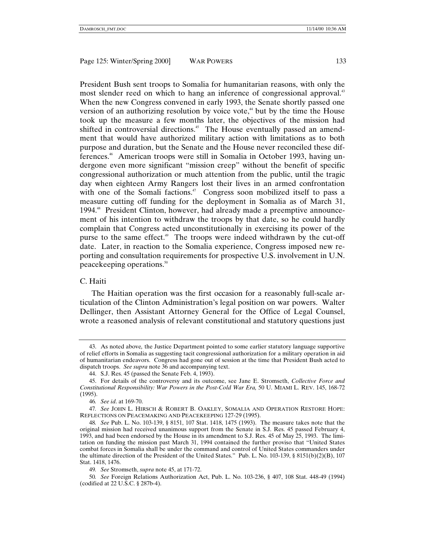President Bush sent troops to Somalia for humanitarian reasons, with only the most slender reed on which to hang an inference of congressional approval.<sup>43</sup> When the new Congress convened in early 1993, the Senate shortly passed one version of an authorizing resolution by voice vote, $44$  but by the time the House took up the measure a few months later, the objectives of the mission had shifted in controversial directions.<sup>45</sup> The House eventually passed an amendment that would have authorized military action with limitations as to both purpose and duration, but the Senate and the House never reconciled these differences.46 American troops were still in Somalia in October 1993, having undergone even more significant "mission creep" without the benefit of specific congressional authorization or much attention from the public, until the tragic day when eighteen Army Rangers lost their lives in an armed confrontation with one of the Somali factions.<sup>47</sup> Congress soon mobilized itself to pass a measure cutting off funding for the deployment in Somalia as of March 31, 1994.48 President Clinton, however, had already made a preemptive announcement of his intention to withdraw the troops by that date, so he could hardly complain that Congress acted unconstitutionally in exercising its power of the purse to the same effect.49 The troops were indeed withdrawn by the cut-off date. Later, in reaction to the Somalia experience, Congress imposed new reporting and consultation requirements for prospective U.S. involvement in U.N. peacekeeping operations.50

### C. Haiti

The Haitian operation was the first occasion for a reasonably full-scale articulation of the Clinton Administration's legal position on war powers. Walter Dellinger, then Assistant Attorney General for the Office of Legal Counsel, wrote a reasoned analysis of relevant constitutional and statutory questions just

<sup>43.</sup> As noted above*,* the Justice Department pointed to some earlier statutory language supportive of relief efforts in Somalia as suggesting tacit congressional authorization for a military operation in aid of humanitarian endeavors. Congress had gone out of session at the time that President Bush acted to dispatch troops. *See supra* note 36 and accompanying text.

<sup>44.</sup> S.J. Res. 45 (passed the Senate Feb. 4, 1993).

<sup>45.</sup> For details of the controversy and its outcome, see Jane E. Stromseth, *Collective Force and Constitutional Responsibility: War Powers in the Post-Cold War Era,* 50 U. MIAMI L. REV. 145, 168-72 (1995).

<sup>46</sup>*. See id*. at 169-70.

<sup>47</sup>*. See* JOHN L. HIRSCH & ROBERT B. OAKLEY, SOMALIA AND OPERATION RESTORE HOPE: REFLECTIONS ON PEACEMAKING AND PEACEKEEPING 127-29 (1995).

<sup>48</sup>*. See* Pub. L. No. 103-139, § 8151, 107 Stat. 1418, 1475 (1993). The measure takes note that the original mission had received unanimous support from the Senate in S.J. Res. 45 passed February 4, 1993, and had been endorsed by the House in its amendment to S.J. Res. 45 of May 25, 1993. The limitation on funding the mission past March 31, 1994 contained the further proviso that "United States combat forces in Somalia shall be under the command and control of United States commanders under the ultimate direction of the President of the United States." Pub. L. No. 103-139, § 8151(b)(2)(B), 107 Stat. 1418, 1476.

<sup>49</sup>*. See* Stromseth, *supra* note 45, at 171-72.

<sup>50</sup>*. See* Foreign Relations Authorization Act, Pub. L. No. 103-236, § 407, 108 Stat. 448-49 (1994) (codified at 22 U.S.C. § 287b-4).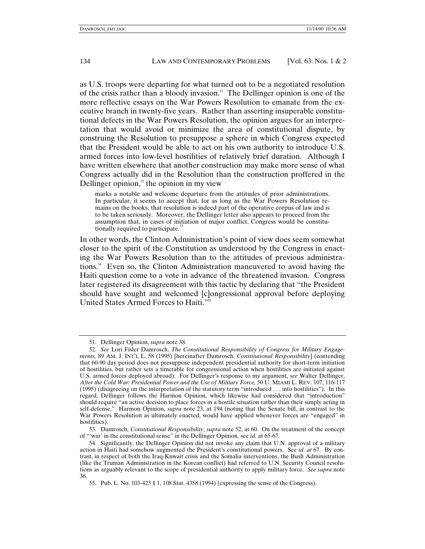as U.S. troops were departing for what turned out to be a negotiated resolution of the crisis rather than a bloody invasion.<sup>51</sup> The Dellinger opinion is one of the more reflective essays on the War Powers Resolution to emanate from the executive branch in twenty-five years. Rather than asserting insuperable constitutional defects in the War Powers Resolution, the opinion argues for an interpretation that would avoid or minimize the area of constitutional dispute, by construing the Resolution to presuppose a sphere in which Congress expected that the President would be able to act on his own authority to introduce U.S. armed forces into low-level hostilities of relatively brief duration. Although I have written elsewhere that another construction may make more sense of what Congress actually did in the Resolution than the construction proffered in the Dellinger opinion, $52$  the opinion in my view

marks a notable and welcome departure from the attitudes of prior administrations. In particular, it seems to accept that, for as long as the War Powers Resolution remains on the books, that resolution is indeed part of the operative corpus of law and is to be taken seriously. Moreover, the Dellinger letter also appears to proceed from the assumption that, in cases of initiation of major conflict, Congress would be constitutionally required to participate.<sup>33</sup>

In other words, the Clinton Administration's point of view does seem somewhat closer to the spirit of the Constitution as understood by the Congress in enacting the War Powers Resolution than to the attitudes of previous administrations.54 Even so, the Clinton Administration maneuvered to avoid having the Haiti question come to a vote in advance of the threatened invasion. Congress later registered its disagreement with this tactic by declaring that "the President should have sought and welcomed [c]ongressional approval before deploying United States Armed Forces to Haiti."

<sup>51.</sup> Dellinger Opinion, *supra* note 38*.*

<sup>52</sup>*. See* Lori Fisler Damrosch, *The Constitutional Responsibility of Congress for Military Engagements,* 89 AM. J. INT'L L. 58 (1995) [hereinafter Damrosch, *Constitutional Responsibility*] (contending that 60-90 day period does not presuppose independent presidential authority for short-term initiation of hostilities, but rather sets a timetable for congressional action when hostilities are initiated against U.S. armed forces deployed abroad). For Dellinger's response to my argument, *see* Walter Dellinger, *After the Cold War: Presidential Power and the Use of Military Force,* 50 U. MIAMI L. REV. 107, 116-117 (1995) (disagreeing on the interpretation of the statutory term "introduced . . . into hostilities"). In this regard, Dellinger follows the Harmon Opinion, which likewise had considered that "introduction" should require "an active decision to place forces in a hostile situation rather than their simply acting in self-defense." Harmon Opinion, *supra* note 23, at 194 (noting that the Senate bill, in contrast to the War Powers Resolution as ultimately enacted, would have applied whenever forces are "engaged" in hostilities).

<sup>53.</sup> Damrosch, *Constitutional Responsibility*, *supra* note 52, at 60. On the treatment of the concept of "'war' in the constitutional sense" in the Dellinger Opinion, see *id.* at 65-67.

<sup>54.</sup> Significantly, the Dellinger Opinion did not invoke any claim that U.N. approval of a military action in Haiti had somehow augmented the President's constitutional powers. See *id. at* 67. By contrast, in respect of both the Iraq-Kuwait crisis and the Somalia interventions, the Bush Administration (like the Truman Administration in the Korean conflict) had referred to U.N. Security Council resolutions as arguably relevant to the scope of presidential authority to apply military force. *See supra* note 36.

<sup>55.</sup> Pub. L. No. 103-423 § 1, 108 Stat. 4358 (1994) (expressing the sense of the Congress).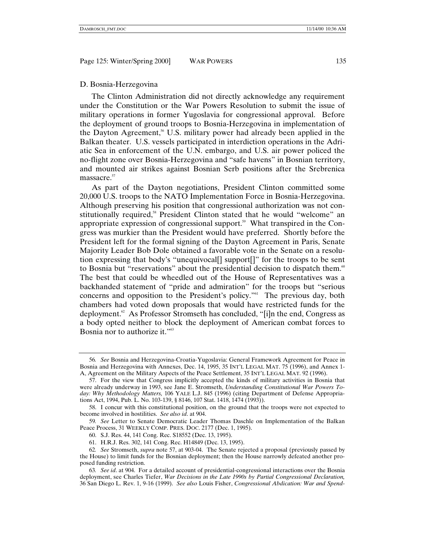#### D. Bosnia-Herzegovina

The Clinton Administration did not directly acknowledge any requirement under the Constitution or the War Powers Resolution to submit the issue of military operations in former Yugoslavia for congressional approval. Before the deployment of ground troops to Bosnia-Herzegovina in implementation of the Dayton Agreement,<sup>56</sup> U.S. military power had already been applied in the Balkan theater. U.S. vessels participated in interdiction operations in the Adriatic Sea in enforcement of the U.N. embargo, and U.S. air power policed the no-flight zone over Bosnia-Herzegovina and "safe havens" in Bosnian territory, and mounted air strikes against Bosnian Serb positions after the Srebrenica massacre.<sup>57</sup>

As part of the Dayton negotiations, President Clinton committed some 20,000 U.S. troops to the NATO Implementation Force in Bosnia-Herzegovina. Although preserving his position that congressional authorization was not constitutionally required,<sup>58</sup> President Clinton stated that he would "welcome" an appropriate expression of congressional support.<sup>59</sup> What transpired in the Congress was murkier than the President would have preferred. Shortly before the President left for the formal signing of the Dayton Agreement in Paris, Senate Majority Leader Bob Dole obtained a favorable vote in the Senate on a resolution expressing that body's "unequivocal[] support[]" for the troops to be sent to Bosnia but "reservations" about the presidential decision to dispatch them.<sup>60</sup> The best that could be wheedled out of the House of Representatives was a backhanded statement of "pride and admiration" for the troops but "serious concerns and opposition to the President's policy."61 The previous day, both chambers had voted down proposals that would have restricted funds for the deployment.62 As Professor Stromseth has concluded, "[i]n the end, Congress as a body opted neither to block the deployment of American combat forces to Bosnia nor to authorize it."<sup>63</sup>

<sup>56</sup>*. See* Bosnia and Herzegovina-Croatia-Yugoslavia: General Framework Agreement for Peace in Bosnia and Herzegovina with Annexes, Dec. 14, 1995, 35 INT'L LEGAL MAT. 75 (1996), and Annex 1- A, Agreement on the Military Aspects of the Peace Settlement, 35 INT'L LEGAL MAT. 92 (1996).

<sup>57.</sup> For the view that Congress implicitly accepted the kinds of military activities in Bosnia that were already underway in 1993, see Jane E. Stromseth, *Understanding Constitutional War Powers Today: Why Methodology Matters,* 106 YALE L.J. 845 (1996) (citing Department of Defense Appropriations Act, 1994, Pub. L. No. 103-139, § 8146, 107 Stat. 1418, 1474 (1993)).

<sup>58.</sup> I concur with this constitutional position, on the ground that the troops were not expected to become involved in hostilities. *See also id*. at 904.

<sup>59</sup>*. See* Letter to Senate Democratic Leader Thomas Daschle on Implementation of the Balkan Peace Process, 31 WEEKLY COMP. PRES. DOC. 2177 (Dec. 1, 1995).

<sup>60.</sup> S.J. Res. 44, 141 Cong. Rec. S18552 (Dec. 13, 1995).

<sup>61.</sup> H.R.J. Res. 302, 141 Cong. Rec. H14849 (Dec. 13, 1995).

<sup>62</sup>*. See* Stromseth, *supra* note 57, at 903-04. The Senate rejected a proposal (previously passed by the House) to limit funds for the Bosnian deployment; then the House narrowly defeated another proposed funding restriction.

<sup>63</sup>*. See id*. at 904. For a detailed account of presidential-congressional interactions over the Bosnia deployment, see Charles Tiefer, *War Decisions in the Late 1990s by Partial Congressional Declaration,* 36 San Diego L. Rev. 1, 9-16 (1999). *See also* Louis Fisher, *Congressional Abdication: War and Spend-*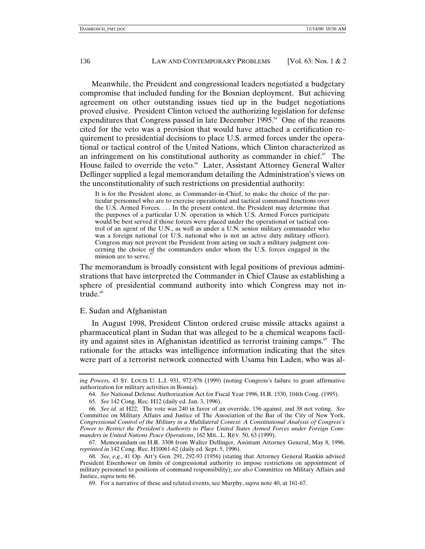Meanwhile, the President and congressional leaders negotiated a budgetary compromise that included funding for the Bosnian deployment. But achieving agreement on other outstanding issues tied up in the budget negotiations proved elusive. President Clinton vetoed the authorizing legislation for defense expenditures that Congress passed in late December 1995.<sup>64</sup> One of the reasons cited for the veto was a provision that would have attached a certification requirement to presidential decisions to place U.S. armed forces under the operational or tactical control of the United Nations, which Clinton characterized as an infringement on his constitutional authority as commander in chief. $\frac{66}{5}$  The House failed to override the veto.<sup>66</sup> Later, Assistant Attorney General Walter Dellinger supplied a legal memorandum detailing the Administration's views on the unconstitutionality of such restrictions on presidential authority:

It is for the President alone, as Commander-in-Chief, to make the choice of the particular personnel who are to exercise operational and tactical command functions over the U.S. Armed Forces. . . . In the present context, the President may determine that the purposes of a particular U.N. operation in which U.S. Armed Forces participate would be best served if those forces were placed under the operational or tactical control of an agent of the U.N., as well as under a U.N. senior military commander who was a foreign national (or U.S. national who is not an active duty military officer). Congress may not prevent the President from acting on such a military judgment concerning the choice of the commanders under whom the U.S. forces engaged in the mission are to serve.<sup>6</sup>

The memorandum is broadly consistent with legal positions of previous administrations that have interpreted the Commander in Chief Clause as establishing a sphere of presidential command authority into which Congress may not intrude.<sup>68</sup>

### E. Sudan and Afghanistan

In August 1998, President Clinton ordered cruise missile attacks against a pharmaceutical plant in Sudan that was alleged to be a chemical weapons facility and against sites in Afghanistan identified as terrorist training camps. $\frac{69}{10}$  The rationale for the attacks was intelligence information indicating that the sites were part of a terrorist network connected with Usama bin Laden, who was al-

*ing Powers,* 43 ST. LOUIS U. L.J. 931, 972-976 (1999) (noting Congress's failure to grant affirmative authorization for military activities in Bosnia).

<sup>64</sup>*. See* National Defense Authorization Act for Fiscal Year 1996, H.R. 1530, 104th Cong. (1995).

<sup>65</sup>*. See* 142 Cong. Rec. H12 (daily ed. Jan. 3, 1996).

<sup>66</sup>*. See id.* at H22. The vote was 240 in favor of an override, 156 against, and 38 not voting. *See* Committee on Military Affairs and Justice of The Association of the Bar of the City of New York, *Congressional Control of the Military in a Multilateral Context: A Constitutional Analysis of Congress's Power to Restrict the President's Authority to Place United States Armed Forces under Foreign Commanders in United Nations Peace Operations*, 162 MIL. L. REV. 50, 63 (1999).

<sup>67.</sup> Memorandum on H.R. 3308 from Walter Dellinger, Assistant Attorney General, May 8, 1996, *reprinted in* 142 Cong. Rec. H10061-62 (daily ed. Sept. 5, 1996).

<sup>68</sup>*. See, e.g.*, 41 Op. Att'y Gen. 291, 292-93 (1956) (stating that Attorney General Rankin advised President Eisenhower on limits of congressional authority to impose restrictions on appointment of military personnel to positions of command responsibility); *see also* Committee on Military Affairs and Justice, *supra* note 66.

<sup>69.</sup> For a narrative of these and related events, see Murphy, *supra* note 40, at 161-67.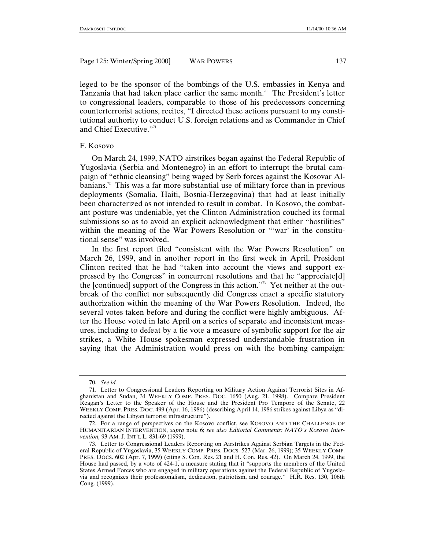leged to be the sponsor of the bombings of the U.S. embassies in Kenya and Tanzania that had taken place earlier the same month.<sup>70</sup> The President's letter to congressional leaders, comparable to those of his predecessors concerning counterterrorist actions, recites, "I directed these actions pursuant to my constitutional authority to conduct U.S. foreign relations and as Commander in Chief and Chief Executive."<sup>71</sup>

## F. Kosovo

On March 24, 1999, NATO airstrikes began against the Federal Republic of Yugoslavia (Serbia and Montenegro) in an effort to interrupt the brutal campaign of "ethnic cleansing" being waged by Serb forces against the Kosovar Albanians.<sup>72</sup> This was a far more substantial use of military force than in previous deployments (Somalia, Haiti, Bosnia-Herzegovina) that had at least initially been characterized as not intended to result in combat. In Kosovo, the combatant posture was undeniable, yet the Clinton Administration couched its formal submissions so as to avoid an explicit acknowledgment that either "hostilities" within the meaning of the War Powers Resolution or "'war' in the constitutional sense" was involved.

In the first report filed "consistent with the War Powers Resolution" on March 26, 1999, and in another report in the first week in April, President Clinton recited that he had "taken into account the views and support expressed by the Congress" in concurrent resolutions and that he "appreciate[d] the [continued] support of the Congress in this action."73 Yet neither at the outbreak of the conflict nor subsequently did Congress enact a specific statutory authorization within the meaning of the War Powers Resolution. Indeed, the several votes taken before and during the conflict were highly ambiguous. After the House voted in late April on a series of separate and inconsistent measures, including to defeat by a tie vote a measure of symbolic support for the air strikes, a White House spokesman expressed understandable frustration in saying that the Administration would press on with the bombing campaign:

<sup>70</sup>*. See id.*

<sup>71.</sup> Letter to Congressional Leaders Reporting on Military Action Against Terrorist Sites in Afghanistan and Sudan, 34 WEEKLY COMP. PRES. DOC. 1650 (Aug. 21, 1998). Compare President Reagan's Letter to the Speaker of the House and the President Pro Tempore of the Senate, 22 WEEKLY COMP. PRES. DOC. 499 (Apr. 16, 1986) (describing April 14, 1986 strikes against Libya as "directed against the Libyan terrorist infrastructure").

<sup>72.</sup> For a range of perspectives on the Kosovo conflict, see KOSOVO AND THE CHALLENGE OF HUMANITARIAN INTERVENTION, *supra* note 6; *see also Editorial Comments: NATO's Kosovo Intervention,* 93 AM. J. INT'L L. 831-69 (1999).

<sup>73.</sup> Letter to Congressional Leaders Reporting on Airstrikes Against Serbian Targets in the Federal Republic of Yugoslavia, 35 WEEKLY COMP. PRES. DOCS. 527 (Mar. 26, 1999); 35 WEEKLY COMP. PRES. DOCS. 602 (Apr. 7, 1999) (citing S. Con. Res. 21 and H. Con. Res. 42). On March 24, 1999, the House had passed, by a vote of 424-1, a measure stating that it "supports the members of the United States Armed Forces who are engaged in military operations against the Federal Republic of Yugoslavia and recognizes their professionalism, dedication, patriotism, and courage." H.R. Res. 130, 106th Cong. (1999).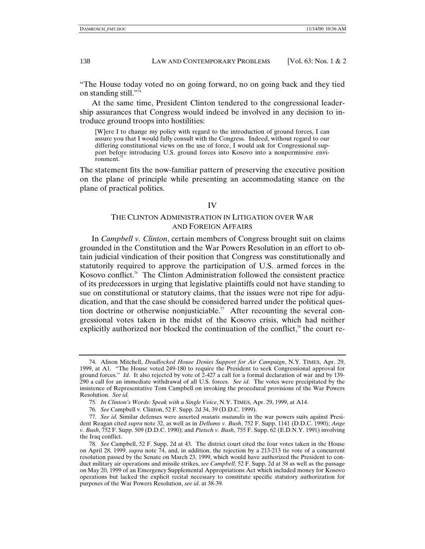"The House today voted no on going forward, no on going back and they tied on standing still."74

At the same time, President Clinton tendered to the congressional leadership assurances that Congress would indeed be involved in any decision to introduce ground troops into hostilities:

[W]ere I to change my policy with regard to the introduction of ground forces, I can assure you that I would fully consult with the Congress. Indeed, without regard to our differing constitutional views on the use of force, I would ask for Congressional support before introducing U.S. ground forces into Kosovo into a nonpermissive environment.<sup>7</sup>

The statement fits the now-familiar pattern of preserving the executive position on the plane of principle while presenting an accommodating stance on the plane of practical politics.

#### IV

# THE CLINTON ADMINISTRATION IN LITIGATION OVER WAR AND FOREIGN AFFAIRS

In *Campbell v. Clinton*, certain members of Congress brought suit on claims grounded in the Constitution and the War Powers Resolution in an effort to obtain judicial vindication of their position that Congress was constitutionally and statutorily required to approve the participation of U.S. armed forces in the Kosovo conflict.<sup>76</sup> The Clinton Administration followed the consistent practice of its predecessors in urging that legislative plaintiffs could not have standing to sue on constitutional or statutory claims, that the issues were not ripe for adjudication, and that the case should be considered barred under the political question doctrine or otherwise nonjusticiable.<sup>77</sup> After recounting the several congressional votes taken in the midst of the Kosovo crisis, which had neither explicitly authorized nor blocked the continuation of the conflict, $\bar{r}^s$  the court re-

<sup>74.</sup> Alison Mitchell, *Deadlocked House Denies Support for Air Campaign*, N.Y. TIMES, Apr. 29, 1999, at A1. "The House voted 249-180 to require the President to seek Congressional approval for ground forces." *Id*. It also rejected by vote of 2-427 a call for a formal declaration of war and by 139- 290 a call for an immediate withdrawal of all U.S. forces. *See id*. The votes were precipitated by the insistence of Representative Tom Campbell on invoking the procedural provisions of the War Powers Resolution. *See id.*

<sup>75</sup>*. In Clinton's Words: Speak with a Single Voice*, N.Y. TIMES, Apr. 29, 1999, at A14.

<sup>76</sup>*. See* Campbell v. Clinton, 52 F. Supp. 2d 34, 39 (D.D.C. 1999).

<sup>77</sup>*. See id.* Similar defenses were asserted *mutatis mutandis* in the war powers suits against President Reagan cited *supra* note 32, as well as in *Dellums v. Bush*, 752 F. Supp. 1141 (D.D.C. 1990); *Ange v. Bush*, 752 F. Supp. 509 (D.D.C. 1990); and *Pietsch v. Bush*, 755 F. Supp. 62 (E.D.N.Y. 1991) involving the Iraq conflict.

<sup>78</sup>*. See* Campbell, 52 F. Supp. 2d at 43. The district court cited the four votes taken in the House on April 28, 1999, *supra* note 74, and, in addition, the rejection by a 213-213 tie vote of a concurrent resolution passed by the Senate on March 23, 1999, which would have authorized the President to conduct military air operations and missile strikes, *see Campbell*, 52 F. Supp. 2d at 38 as well as the passage on May 20, 1999 of an Emergency Supplemental Appropriations Act which included money for Kosovo operations but lacked the explicit recital necessary to constitute specific statutory authorization for purposes of the War Powers Resolution, *see id*. at 38-39.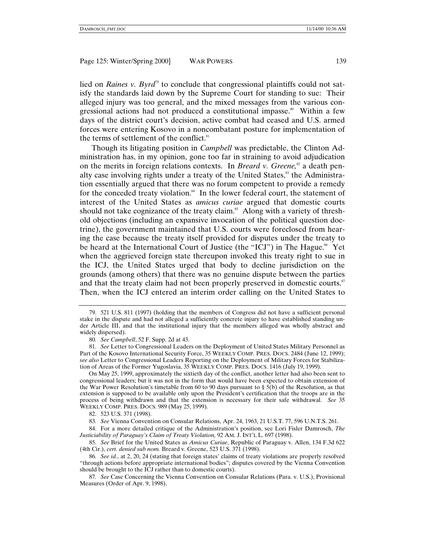lied on *Raines v. Byrd*<sup>79</sup> to conclude that congressional plaintiffs could not satisfy the standards laid down by the Supreme Court for standing to sue: Their alleged injury was too general, and the mixed messages from the various congressional actions had not produced a constitutional impasse.<sup>80</sup> Within a few days of the district court's decision, active combat had ceased and U.S. armed forces were entering Kosovo in a noncombatant posture for implementation of the terms of settlement of the conflict.<sup>81</sup>

Though its litigating position in *Campbell* was predictable, the Clinton Administration has, in my opinion, gone too far in straining to avoid adjudication on the merits in foreign relations contexts. In *Breard v. Greene*,<sup>82</sup> a death penalty case involving rights under a treaty of the United States,<sup>83</sup> the Administration essentially argued that there was no forum competent to provide a remedy for the conceded treaty violation.<sup>84</sup> In the lower federal court, the statement of interest of the United States as *amicus curiae* argued that domestic courts should not take cognizance of the treaty claim.<sup>85</sup> Along with a variety of threshold objections (including an expansive invocation of the political question doctrine), the government maintained that U.S. courts were foreclosed from hearing the case because the treaty itself provided for disputes under the treaty to be heard at the International Court of Justice (the "ICJ") in The Hague.<sup>86</sup> Yet when the aggrieved foreign state thereupon invoked this treaty right to sue in the ICJ, the United States urged that body to decline jurisdiction on the grounds (among others) that there was no genuine dispute between the parties and that the treaty claim had not been properly preserved in domestic courts. $s^2$ Then, when the ICJ entered an interim order calling on the United States to

<sup>79. 521</sup> U.S. 811 (1997) (holding that the members of Congress did not have a sufficient personal stake in the dispute and had not alleged a sufficiently concrete injury to have established standing under Article III, and that the institutional injury that the members alleged was wholly abstract and widely dispersed).

<sup>80</sup>*. See Campbell*, 52 F. Supp. 2d at 43.

<sup>81</sup>*. See* Letter to Congressional Leaders on the Deployment of United States Military Personnel as Part of the Kosovo International Security Force, 35 WEEKLY COMP. PRES. DOCS. 2484 (June 12, 1999); *see also* Letter to Congressional Leaders Reporting on the Deployment of Military Forces for Stabilization of Areas of the Former Yugoslavia, 35 WEEKLY COMP. PRES. DOCS. 1416 (July 19, 1999).

On May 25, 1999, approximately the sixtieth day of the conflict, another letter had also been sent to congressional leaders; but it was not in the form that would have been expected to obtain extension of the War Power Resolution's timetable from 60 to 90 days pursuant to §  $\overline{5(b)}$  of the Resolution, as that extension is supposed to be available only upon the President's certification that the troops are in the process of being withdrawn and that the extension is necessary for their safe withdrawal. *See* 35 WEEKLY COMP. PRES. DOCS. 989 (May 25, 1999).

<sup>82. 523</sup> U.S. 371 (1998).

<sup>83</sup>*. See* Vienna Convention on Consular Relations, Apr. 24, 1963, 21 U.S.T. 77, 596 U.N.T.S. 261.

<sup>84.</sup> For a more detailed critique of the Administration's position, see Lori Fisler Damrosch, *The Justiciability of Paraguay's Claim of Treaty Violation,* 92 AM. J. INT'L L. 697 (1998).

<sup>85</sup>*. See* Brief for the United States as *Amicus Curiae*, Republic of Paraguay v. Allen, 134 F.3d 622 (4th Cir.), *cert. denied sub nom.* Breard v. Greene, 523 U.S. 371 (1998).

<sup>86</sup>*. See id.*, at 2, 20, 24 (stating that foreign states' claims of treaty violations are properly resolved "through actions before appropriate international bodies"; disputes covered by the Vienna Convention should be brought to the ICJ rather than to domestic courts).

<sup>87</sup>*. See* Case Concerning the Vienna Convention on Consular Relations (Para. v. U.S.), Provisional Measures (Order of Apr. 9, 1998).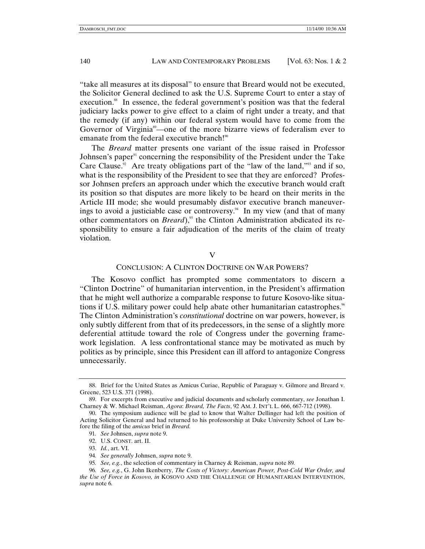"take all measures at its disposal" to ensure that Breard would not be executed, the Solicitor General declined to ask the U.S. Supreme Court to enter a stay of execution.<sup>88</sup> In essence, the federal government's position was that the federal judiciary lacks power to give effect to a claim of right under a treaty, and that the remedy (if any) within our federal system would have to come from the Governor of Virginia<sup>89</sup>—one of the more bizarre views of federalism ever to emanate from the federal executive branch!<sup>90</sup>

The *Breard* matter presents one variant of the issue raised in Professor Johnsen's paper<sup>91</sup> concerning the responsibility of the President under the Take Care Clause.<sup>32</sup> Are treaty obligations part of the "law of the land,"<sup>93</sup> and if so, what is the responsibility of the President to see that they are enforced? Professor Johnsen prefers an approach under which the executive branch would craft its position so that disputes are more likely to be heard on their merits in the Article III mode; she would presumably disfavor executive branch maneuverings to avoid a justiciable case or controversy.<sup>94</sup> In my view (and that of many other commentators on *Breard*),<sup>95</sup> the Clinton Administration abdicated its responsibility to ensure a fair adjudication of the merits of the claim of treaty violation.

V

#### CONCLUSION: A CLINTON DOCTRINE ON WAR POWERS?

The Kosovo conflict has prompted some commentators to discern a "Clinton Doctrine" of humanitarian intervention, in the President's affirmation that he might well authorize a comparable response to future Kosovo-like situations if U.S. military power could help abate other humanitarian catastrophes.<sup><sup>66</sup></sup> The Clinton Administration's *constitutional* doctrine on war powers, however, is only subtly different from that of its predecessors, in the sense of a slightly more deferential attitude toward the role of Congress under the governing framework legislation. A less confrontational stance may be motivated as much by politics as by principle, since this President can ill afford to antagonize Congress unnecessarily.

<sup>88.</sup> Brief for the United States as Amicus Curiae, Republic of Paraguay v. Gilmore and Breard v. Greene, 523 U.S. 371 (1998).

<sup>89.</sup> For excerpts from executive and judicial documents and scholarly commentary, *see* Jonathan I. Charney & W. Michael Reisman, *Agora*: *Breard, The Facts*, 92 AM. J. INT'L L. 666, 667-712 (1998).

<sup>90.</sup> The symposium audience will be glad to know that Walter Dellinger had left the position of Acting Solicitor General and had returned to his professorship at Duke University School of Law before the filing of the *amicus* brief in *Breard.*

<sup>91</sup>*. See* Johnsen, *supra* note 9.

<sup>92.</sup> U.S. CONST. art. II.

<sup>93.</sup> *Id.*, art. VI.

<sup>94</sup>*. See generally* Johnsen, *supra* note 9.

<sup>95</sup>*. See, e.g.*, the selection of commentary in Charney & Reisman, *supra* note 89*.*

<sup>96</sup>*. See, e.g.*, G. John Ikenberry, *The Costs of Victory: American Power, Post-Cold War Order, and the Use of Force in Kosovo, in* KOSOVO AND THE CHALLENGE OF HUMANITARIAN INTERVENTION, *supra* note 6*.*